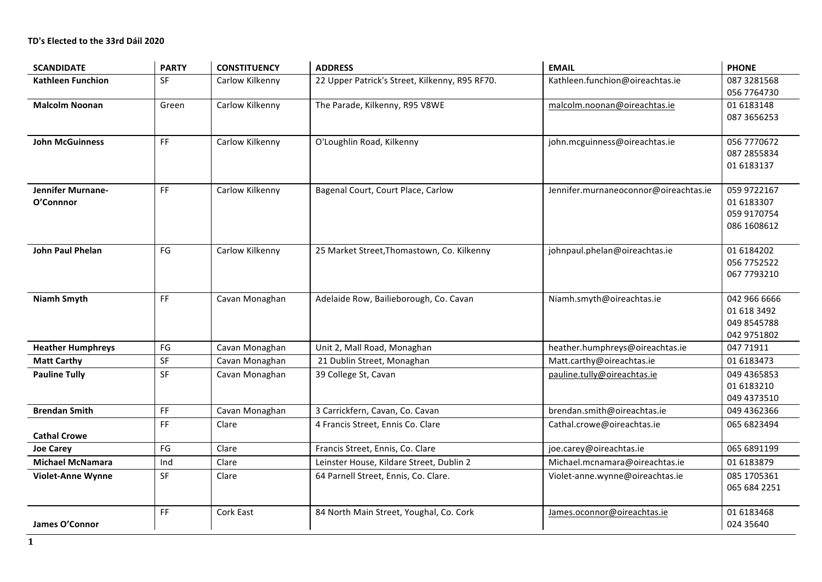| <b>SCANDIDATE</b>              | <b>PARTY</b>                 | <b>CONSTITUENCY</b> | <b>ADDRESS</b>                                 | <b>EMAIL</b>                          | <b>PHONE</b>                                              |
|--------------------------------|------------------------------|---------------------|------------------------------------------------|---------------------------------------|-----------------------------------------------------------|
| <b>Kathleen Funchion</b>       | SF                           | Carlow Kilkenny     | 22 Upper Patrick's Street, Kilkenny, R95 RF70. | Kathleen.funchion@oireachtas.ie       | 087 3281568<br>056 7764730                                |
| <b>Malcolm Noonan</b>          | Green                        | Carlow Kilkenny     | The Parade, Kilkenny, R95 V8WE                 | malcolm.noonan@oireachtas.ie          | 01 6183148<br>087 3656253                                 |
| <b>John McGuinness</b>         | FF                           | Carlow Kilkenny     | O'Loughlin Road, Kilkenny                      | john.mcguinness@oireachtas.ie         | 056 7770672<br>087 2855834<br>01 6183137                  |
| Jennifer Murnane-<br>O'Connnor | FF                           | Carlow Kilkenny     | Bagenal Court, Court Place, Carlow             | Jennifer.murnaneoconnor@oireachtas.ie | 059 9722167<br>01 6183307<br>059 9170754<br>086 1608612   |
| <b>John Paul Phelan</b>        | FG                           | Carlow Kilkenny     | 25 Market Street, Thomastown, Co. Kilkenny     | johnpaul.phelan@oireachtas.ie         | 01 6184202<br>056 7752522<br>067 7793210                  |
| <b>Niamh Smyth</b>             | FF                           | Cavan Monaghan      | Adelaide Row, Bailieborough, Co. Cavan         | Niamh.smyth@oireachtas.ie             | 042 966 6666<br>01 618 3492<br>049 8545788<br>042 9751802 |
| <b>Heather Humphreys</b>       | FG                           | Cavan Monaghan      | Unit 2, Mall Road, Monaghan                    | heather.humphreys@oireachtas.ie       | 047 71911                                                 |
| <b>Matt Carthy</b>             | SF                           | Cavan Monaghan      | 21 Dublin Street, Monaghan                     | Matt.carthy@oireachtas.ie             | 01 6183473                                                |
| <b>Pauline Tully</b>           | SF                           | Cavan Monaghan      | 39 College St, Cavan                           | pauline.tully@oireachtas.ie           | 049 4365853<br>01 6183210<br>049 4373510                  |
| <b>Brendan Smith</b>           | FF                           | Cavan Monaghan      | 3 Carrickfern, Cavan, Co. Cavan                | brendan.smith@oireachtas.ie           | 049 4362366                                               |
| <b>Cathal Crowe</b>            | FF                           | Clare               | 4 Francis Street, Ennis Co. Clare              | Cathal.crowe@oireachtas.ie            | 065 6823494                                               |
| <b>Joe Carey</b>               | FG                           | Clare               | Francis Street, Ennis, Co. Clare               | joe.carey@oireachtas.ie               | 065 6891199                                               |
| <b>Michael McNamara</b>        | Ind                          | Clare               | Leinster House, Kildare Street, Dublin 2       | Michael.mcnamara@oireachtas.ie        | 01 6183879                                                |
| <b>Violet-Anne Wynne</b>       | SF                           | Clare               | 64 Parnell Street, Ennis, Co. Clare.           | Violet-anne.wynne@oireachtas.ie       | 085 1705361<br>065 684 2251                               |
| James O'Connor                 | $\mathsf{FF}% _{\mathsf{F}}$ | <b>Cork East</b>    | 84 North Main Street, Youghal, Co. Cork        | James.oconnor@oireachtas.ie           | 01 6183468<br>024 35 640                                  |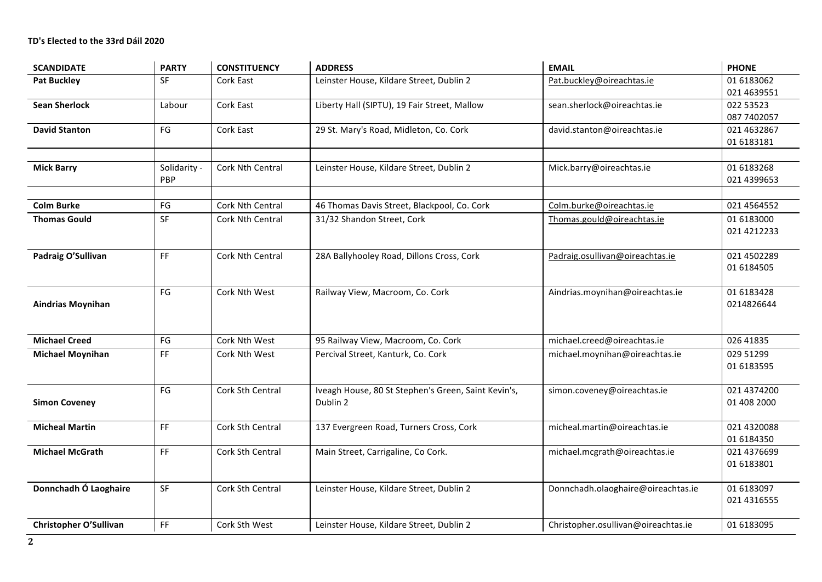| <b>SCANDIDATE</b>        | <b>PARTY</b>        | <b>CONSTITUENCY</b>     | <b>ADDRESS</b>                                                  | <b>EMAIL</b>                        | <b>PHONE</b>               |
|--------------------------|---------------------|-------------------------|-----------------------------------------------------------------|-------------------------------------|----------------------------|
| <b>Pat Buckley</b>       | <b>SF</b>           | Cork East               | Leinster House, Kildare Street, Dublin 2                        | Pat.buckley@oireachtas.ie           | 01 6183062<br>021 4639551  |
| <b>Sean Sherlock</b>     | Labour              | Cork East               | Liberty Hall (SIPTU), 19 Fair Street, Mallow                    | sean.sherlock@oireachtas.ie         | 022 53523<br>087 7402057   |
| <b>David Stanton</b>     | FG                  | Cork East               | 29 St. Mary's Road, Midleton, Co. Cork                          | david.stanton@oireachtas.ie         | 021 4632867<br>01 6183181  |
| <b>Mick Barry</b>        | Solidarity -<br>PBP | <b>Cork Nth Central</b> | Leinster House, Kildare Street, Dublin 2                        | Mick.barry@oireachtas.ie            | 01 6183268<br>021 4399653  |
| <b>Colm Burke</b>        | FG                  | <b>Cork Nth Central</b> | 46 Thomas Davis Street, Blackpool, Co. Cork                     | Colm.burke@oireachtas.ie            | 021 4564552                |
| <b>Thomas Gould</b>      | SF                  | <b>Cork Nth Central</b> | 31/32 Shandon Street, Cork                                      | Thomas.gould@oireachtas.ie          | 01 6183000<br>021 4212233  |
| Padraig O'Sullivan       | FF.                 | Cork Nth Central        | 28A Ballyhooley Road, Dillons Cross, Cork                       | Padraig.osullivan@oireachtas.ie     | 021 4502289<br>01 6184505  |
| <b>Aindrias Moynihan</b> | FG                  | Cork Nth West           | Railway View, Macroom, Co. Cork                                 | Aindrias.moynihan@oireachtas.ie     | 01 6183428<br>0214826644   |
| <b>Michael Creed</b>     | FG                  | Cork Nth West           | 95 Railway View, Macroom, Co. Cork                              | michael.creed@oireachtas.ie         | 026 41835                  |
| <b>Michael Moynihan</b>  | FF                  | Cork Nth West           | Percival Street, Kanturk, Co. Cork                              | michael.moynihan@oireachtas.ie      | 029 51299<br>01 6183595    |
| <b>Simon Coveney</b>     | FG                  | Cork Sth Central        | Iveagh House, 80 St Stephen's Green, Saint Kevin's,<br>Dublin 2 | simon.coveney@oireachtas.ie         | 021 4374200<br>01 408 2000 |
| <b>Micheal Martin</b>    | <b>FF</b>           | Cork Sth Central        | 137 Evergreen Road, Turners Cross, Cork                         | micheal.martin@oireachtas.ie        | 021 4320088<br>01 6184350  |
| <b>Michael McGrath</b>   | FF.                 | Cork Sth Central        | Main Street, Carrigaline, Co Cork.                              | michael.mcgrath@oireachtas.ie       | 021 4376699<br>01 6183801  |
| Donnchadh Ó Laoghaire    | SF                  | Cork Sth Central        | Leinster House, Kildare Street, Dublin 2                        | Donnchadh.olaoghaire@oireachtas.ie  | 01 6183097<br>021 4316555  |
| Christopher O'Sullivan   | FF                  | Cork Sth West           | Leinster House, Kildare Street, Dublin 2                        | Christopher.osullivan@oireachtas.ie | 01 6183095                 |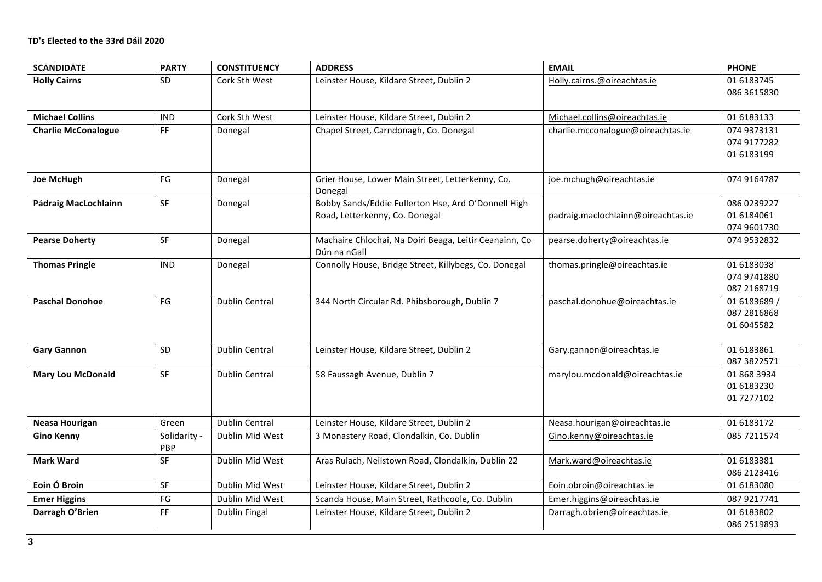| <b>SCANDIDATE</b>          | <b>PARTY</b>        | <b>CONSTITUENCY</b>   | <b>ADDRESS</b>                                                                        | <b>EMAIL</b>                       | <b>PHONE</b>                              |
|----------------------------|---------------------|-----------------------|---------------------------------------------------------------------------------------|------------------------------------|-------------------------------------------|
| <b>Holly Cairns</b>        | SD                  | Cork Sth West         | Leinster House, Kildare Street, Dublin 2                                              | Holly.cairns.@oireachtas.ie        | 01 6183745<br>086 3615830                 |
| <b>Michael Collins</b>     | <b>IND</b>          | Cork Sth West         | Leinster House, Kildare Street, Dublin 2                                              | Michael.collins@oireachtas.ie      | 01 6183133                                |
| <b>Charlie McConalogue</b> | FF                  | Donegal               | Chapel Street, Carndonagh, Co. Donegal                                                | charlie.mcconalogue@oireachtas.ie  | 074 9373131<br>074 9177282<br>01 6183199  |
| <b>Joe McHugh</b>          | $\mathsf{FG}$       | Donegal               | Grier House, Lower Main Street, Letterkenny, Co.<br>Donegal                           | joe.mchugh@oireachtas.ie           | 074 9164787                               |
| Pádraig MacLochlainn       | SF                  | Donegal               | Bobby Sands/Eddie Fullerton Hse, Ard O'Donnell High<br>Road, Letterkenny, Co. Donegal | padraig.maclochlainn@oireachtas.ie | 086 0239227<br>01 6184061<br>074 9601730  |
| <b>Pearse Doherty</b>      | SF                  | Donegal               | Machaire Chlochai, Na Doiri Beaga, Leitir Ceanainn, Co<br>Dún na nGall                | pearse.doherty@oireachtas.ie       | 074 9532832                               |
| <b>Thomas Pringle</b>      | <b>IND</b>          | Donegal               | Connolly House, Bridge Street, Killybegs, Co. Donegal                                 | thomas.pringle@oireachtas.ie       | 01 6183038<br>074 9741880<br>087 2168719  |
| <b>Paschal Donohoe</b>     | FG                  | <b>Dublin Central</b> | 344 North Circular Rd. Phibsborough, Dublin 7                                         | paschal.donohue@oireachtas.ie      | 01 6183689 /<br>087 2816868<br>01 6045582 |
| <b>Gary Gannon</b>         | SD                  | <b>Dublin Central</b> | Leinster House, Kildare Street, Dublin 2                                              | Gary.gannon@oireachtas.ie          | 01 6183861<br>087 3822571                 |
| <b>Mary Lou McDonald</b>   | SF                  | <b>Dublin Central</b> | 58 Faussagh Avenue, Dublin 7                                                          | marylou.mcdonald@oireachtas.ie     | 01 868 3934<br>01 6183230<br>01 7277102   |
| <b>Neasa Hourigan</b>      | Green               | <b>Dublin Central</b> | Leinster House, Kildare Street, Dublin 2                                              | Neasa.hourigan@oireachtas.ie       | 01 6183172                                |
| <b>Gino Kenny</b>          | Solidarity -<br>PBP | Dublin Mid West       | 3 Monastery Road, Clondalkin, Co. Dublin                                              | Gino.kenny@oireachtas.ie           | 085 7211574                               |
| <b>Mark Ward</b>           | SF                  | Dublin Mid West       | Aras Rulach, Neilstown Road, Clondalkin, Dublin 22                                    | Mark.ward@oireachtas.ie            | 01 6183381<br>086 2123416                 |
| Eoin Ó Broin               | SF                  | Dublin Mid West       | Leinster House, Kildare Street, Dublin 2                                              | Eoin.obroin@oireachtas.ie          | 01 6183080                                |
| <b>Emer Higgins</b>        | FG                  | Dublin Mid West       | Scanda House, Main Street, Rathcoole, Co. Dublin                                      | Emer.higgins@oireachtas.ie         | 087 9217741                               |
| Darragh O'Brien            | FF                  | Dublin Fingal         | Leinster House, Kildare Street, Dublin 2                                              | Darragh.obrien@oireachtas.ie       | 01 6183802<br>086 2519893                 |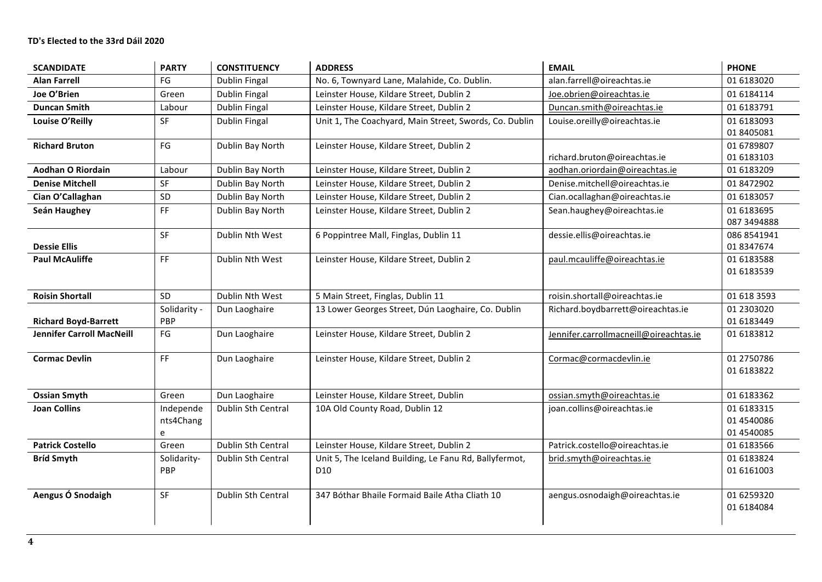| <b>SCANDIDATE</b>           | <b>PARTY</b>                | <b>CONSTITUENCY</b>  | <b>ADDRESS</b>                                                            | <b>EMAIL</b>                           | <b>PHONE</b>                           |
|-----------------------------|-----------------------------|----------------------|---------------------------------------------------------------------------|----------------------------------------|----------------------------------------|
| <b>Alan Farrell</b>         | FG                          | Dublin Fingal        | No. 6, Townyard Lane, Malahide, Co. Dublin.                               | alan.farrell@oireachtas.ie             | 01 6183020                             |
| Joe O'Brien                 | Green                       | Dublin Fingal        | Leinster House, Kildare Street, Dublin 2                                  | Joe.obrien@oireachtas.ie               | 01 6184114                             |
| <b>Duncan Smith</b>         | Labour                      | Dublin Fingal        | Leinster House, Kildare Street, Dublin 2                                  | Duncan.smith@oireachtas.ie             | 01 6183791                             |
| Louise O'Reilly             | <b>SF</b>                   | <b>Dublin Fingal</b> | Unit 1, The Coachyard, Main Street, Swords, Co. Dublin                    | Louise.oreilly@oireachtas.ie           | 01 6183093<br>01 8405081               |
| <b>Richard Bruton</b>       | FG                          | Dublin Bay North     | Leinster House, Kildare Street, Dublin 2                                  | richard.bruton@oireachtas.ie           | 01 6789807<br>01 6183103               |
| Aodhan O Riordain           | Labour                      | Dublin Bay North     | Leinster House, Kildare Street, Dublin 2                                  | aodhan.oriordain@oireachtas.ie         | 01 6183209                             |
| <b>Denise Mitchell</b>      | SF                          | Dublin Bay North     | Leinster House, Kildare Street, Dublin 2                                  | Denise.mitchell@oireachtas.ie          | 01 8472902                             |
| Cian O'Callaghan            | SD                          | Dublin Bay North     | Leinster House, Kildare Street, Dublin 2                                  | Cian.ocallaghan@oireachtas.ie          | 01 6183057                             |
| Seán Haughey                | FF                          | Dublin Bay North     | Leinster House, Kildare Street, Dublin 2                                  | Sean.haughey@oireachtas.ie             | 01 6183695<br>087 3494888              |
| <b>Dessie Ellis</b>         | <b>SF</b>                   | Dublin Nth West      | 6 Poppintree Mall, Finglas, Dublin 11                                     | dessie.ellis@oireachtas.ie             | 086 8541941<br>01 8347674              |
| <b>Paul McAuliffe</b>       | FF                          | Dublin Nth West      | Leinster House, Kildare Street, Dublin 2                                  | paul.mcauliffe@oireachtas.ie           | 01 6183588<br>01 6183539               |
| <b>Roisin Shortall</b>      | SD.                         | Dublin Nth West      | 5 Main Street, Finglas, Dublin 11                                         | roisin.shortall@oireachtas.ie          | 01 618 3593                            |
| <b>Richard Boyd-Barrett</b> | Solidarity -<br>PBP         | Dun Laoghaire        | 13 Lower Georges Street, Dún Laoghaire, Co. Dublin                        | Richard.boydbarrett@oireachtas.ie      | 01 2303020<br>01 6183449               |
| Jennifer Carroll MacNeill   | FG                          | Dun Laoghaire        | Leinster House, Kildare Street, Dublin 2                                  | Jennifer.carrollmacneill@oireachtas.ie | 01 6183812                             |
| <b>Cormac Devlin</b>        | FF.                         | Dun Laoghaire        | Leinster House, Kildare Street, Dublin 2                                  | Cormac@cormacdevlin.ie                 | 01 2750786<br>01 6183822               |
| <b>Ossian Smyth</b>         | Green                       | Dun Laoghaire        | Leinster House, Kildare Street, Dublin                                    | ossian.smyth@oireachtas.ie             | 01 6183362                             |
| <b>Joan Collins</b>         | Independe<br>nts4Chang<br>e | Dublin Sth Central   | 10A Old County Road, Dublin 12                                            | joan.collins@oireachtas.ie             | 01 6183315<br>01 4540086<br>01 4540085 |
| <b>Patrick Costello</b>     | Green                       | Dublin Sth Central   | Leinster House, Kildare Street, Dublin 2                                  | Patrick.costello@oireachtas.ie         | 01 6183566                             |
| <b>Bríd Smyth</b>           | Solidarity-<br>PBP          | Dublin Sth Central   | Unit 5, The Iceland Building, Le Fanu Rd, Ballyfermot,<br>D <sub>10</sub> | brid.smyth@oireachtas.ie               | 01 6183824<br>01 61 61003              |
| Aengus Ó Snodaigh           | SF                          | Dublin Sth Central   | 347 Bóthar Bhaile Formaid Baile Átha Cliath 10                            | aengus.osnodaigh@oireachtas.ie         | 01 6259320<br>01 6184084               |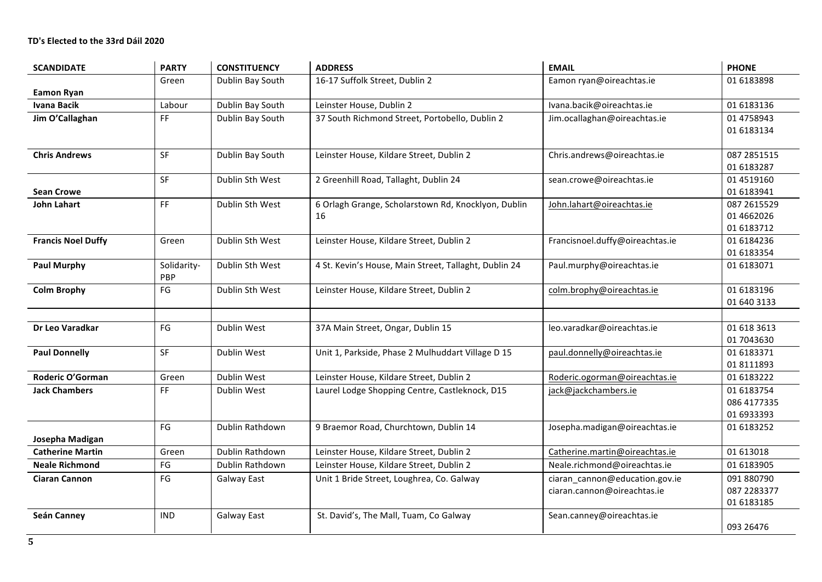| <b>SCANDIDATE</b>         | <b>PARTY</b>           | <b>CONSTITUENCY</b> | <b>ADDRESS</b>                                            | <b>EMAIL</b>                                                  | <b>PHONE</b>                            |
|---------------------------|------------------------|---------------------|-----------------------------------------------------------|---------------------------------------------------------------|-----------------------------------------|
| <b>Eamon Ryan</b>         | Green                  | Dublin Bay South    | 16-17 Suffolk Street, Dublin 2                            | Eamon ryan@oireachtas.ie                                      | 01 6183898                              |
| <b>Ivana Bacik</b>        | Labour                 | Dublin Bay South    | Leinster House, Dublin 2                                  | Ivana.bacik@oireachtas.ie                                     | 01 6183136                              |
| Jim O'Callaghan           | FF.                    | Dublin Bay South    | 37 South Richmond Street, Portobello, Dublin 2            | Jim.ocallaghan@oireachtas.ie                                  | 01 475 8943<br>01 6183134               |
| <b>Chris Andrews</b>      | SF                     | Dublin Bay South    | Leinster House, Kildare Street, Dublin 2                  | Chris.andrews@oireachtas.ie                                   | 087 2851515<br>01 6183287               |
| <b>Sean Crowe</b>         | SF                     | Dublin Sth West     | 2 Greenhill Road, Tallaght, Dublin 24                     | sean.crowe@oireachtas.ie                                      | 01 4519160<br>01 6183941                |
| John Lahart               | FF                     | Dublin Sth West     | 6 Orlagh Grange, Scholarstown Rd, Knocklyon, Dublin<br>16 | John.lahart@oireachtas.ie                                     | 087 2615529<br>01 4662026<br>01 6183712 |
| <b>Francis Noel Duffy</b> | Green                  | Dublin Sth West     | Leinster House, Kildare Street, Dublin 2                  | Francisnoel.duffy@oireachtas.ie                               | 01 6184236<br>01 6183354                |
| <b>Paul Murphy</b>        | Solidarity-<br>PBP     | Dublin Sth West     | 4 St. Kevin's House, Main Street, Tallaght, Dublin 24     | Paul.murphy@oireachtas.ie                                     | 01 6183071                              |
| <b>Colm Brophy</b>        | FG                     | Dublin Sth West     | Leinster House, Kildare Street, Dublin 2                  | colm.brophy@oireachtas.ie                                     | 01 6183196<br>01 640 3133               |
| Dr Leo Varadkar           | $\mathsf{F}\mathsf{G}$ | Dublin West         | 37A Main Street, Ongar, Dublin 15                         | leo.varadkar@oireachtas.ie                                    | 01 618 3613<br>01 7043630               |
| <b>Paul Donnelly</b>      | <b>SF</b>              | Dublin West         | Unit 1, Parkside, Phase 2 Mulhuddart Village D 15         | paul.donnelly@oireachtas.ie                                   | 01 6183371<br>01 8111893                |
| Roderic O'Gorman          | Green                  | Dublin West         | Leinster House, Kildare Street, Dublin 2                  | Roderic.ogorman@oireachtas.ie                                 | 01 6183222                              |
| <b>Jack Chambers</b>      | FF                     | Dublin West         | Laurel Lodge Shopping Centre, Castleknock, D15            | jack@jackchambers.ie                                          | 01 6183754<br>086 4177335<br>01 6933393 |
| Josepha Madigan           | FG                     | Dublin Rathdown     | 9 Braemor Road, Churchtown, Dublin 14                     | Josepha.madigan@oireachtas.ie                                 | 01 6183252                              |
| <b>Catherine Martin</b>   | Green                  | Dublin Rathdown     | Leinster House, Kildare Street, Dublin 2                  | Catherine.martin@oireachtas.ie                                | 01 613018                               |
| <b>Neale Richmond</b>     | FG                     | Dublin Rathdown     | Leinster House, Kildare Street, Dublin 2                  | Neale.richmond@oireachtas.ie                                  | 01 6183905                              |
| <b>Ciaran Cannon</b>      | FG                     | Galway East         | Unit 1 Bride Street, Loughrea, Co. Galway                 | ciaran cannon@education.gov.ie<br>ciaran.cannon@oireachtas.ie | 091 880790<br>087 2283377<br>01 6183185 |
| Seán Canney               | <b>IND</b>             | Galway East         | St. David's, The Mall, Tuam, Co Galway                    | Sean.canney@oireachtas.ie                                     | 093 26476                               |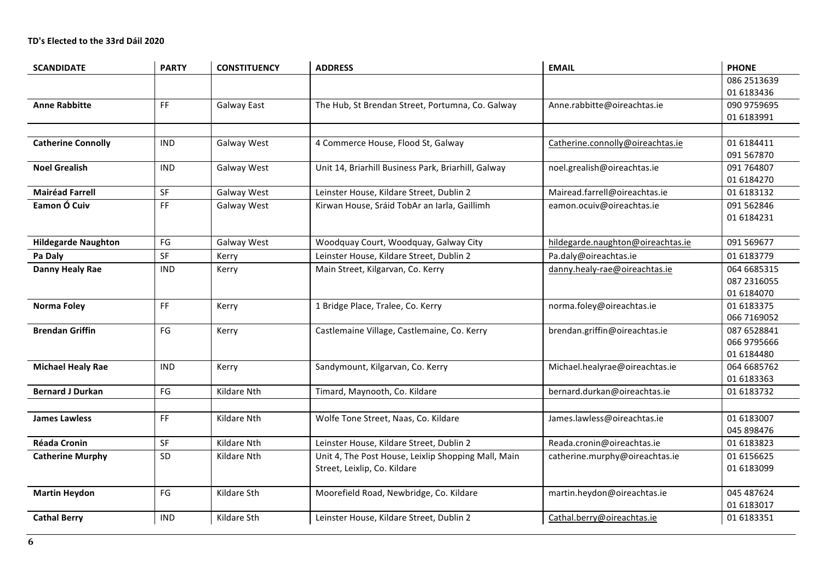| <b>SCANDIDATE</b>          | <b>PARTY</b>  | <b>CONSTITUENCY</b> | <b>ADDRESS</b>                                      | <b>EMAIL</b>                      | <b>PHONE</b> |
|----------------------------|---------------|---------------------|-----------------------------------------------------|-----------------------------------|--------------|
|                            |               |                     |                                                     |                                   | 086 2513639  |
|                            |               |                     |                                                     |                                   | 01 6183436   |
| <b>Anne Rabbitte</b>       | FF.           | Galway East         | The Hub, St Brendan Street, Portumna, Co. Galway    | Anne.rabbitte@oireachtas.ie       | 090 9759695  |
|                            |               |                     |                                                     |                                   | 01 6183991   |
|                            |               |                     |                                                     |                                   |              |
| <b>Catherine Connolly</b>  | <b>IND</b>    | Galway West         | 4 Commerce House, Flood St, Galway                  | Catherine.connolly@oireachtas.ie  | 01 6184411   |
|                            |               |                     |                                                     |                                   | 091 567870   |
| <b>Noel Grealish</b>       | <b>IND</b>    | <b>Galway West</b>  | Unit 14, Briarhill Business Park, Briarhill, Galway | noel.grealish@oireachtas.ie       | 091 764807   |
|                            |               |                     |                                                     |                                   | 01 6184270   |
| <b>Mairéad Farrell</b>     | SF            | Galway West         | Leinster House, Kildare Street, Dublin 2            | Mairead.farrell@oireachtas.ie     | 01 6183132   |
| Eamon Ó Cuiv               | FF            | Galway West         | Kirwan House, Sráid TobAr an Iarla, Gaillimh        | eamon.ocuiv@oireachtas.ie         | 091 562846   |
|                            |               |                     |                                                     |                                   | 01 6184231   |
|                            |               |                     |                                                     |                                   |              |
| <b>Hildegarde Naughton</b> | $\mathsf{FG}$ | Galway West         | Woodquay Court, Woodquay, Galway City               | hildegarde.naughton@oireachtas.ie | 091 569677   |
| Pa Daly                    | SF            | Kerry               | Leinster House, Kildare Street, Dublin 2            | Pa.daly@oireachtas.ie             | 01 6183779   |
| Danny Healy Rae            | <b>IND</b>    | Kerry               | Main Street, Kilgarvan, Co. Kerry                   | danny.healy-rae@oireachtas.ie     | 064 6685315  |
|                            |               |                     |                                                     |                                   | 087 2316055  |
|                            |               |                     |                                                     |                                   | 01 6184070   |
| <b>Norma Foley</b>         | FF            | Kerry               | 1 Bridge Place, Tralee, Co. Kerry                   | norma.foley@oireachtas.ie         | 01 6183375   |
|                            |               |                     |                                                     |                                   | 066 7169052  |
| <b>Brendan Griffin</b>     | FG            | Kerry               | Castlemaine Village, Castlemaine, Co. Kerry         | brendan.griffin@oireachtas.ie     | 087 6528841  |
|                            |               |                     |                                                     |                                   | 066 9795666  |
|                            |               |                     |                                                     |                                   | 01 6184480   |
| <b>Michael Healy Rae</b>   | <b>IND</b>    | Kerry               | Sandymount, Kilgarvan, Co. Kerry                    | Michael.healyrae@oireachtas.ie    | 064 6685762  |
|                            |               |                     |                                                     |                                   | 01 6183363   |
| <b>Bernard J Durkan</b>    | FG            | Kildare Nth         | Timard, Maynooth, Co. Kildare                       | bernard.durkan@oireachtas.ie      | 01 6183732   |
|                            |               |                     |                                                     |                                   |              |
| <b>James Lawless</b>       | FF            | Kildare Nth         | Wolfe Tone Street, Naas, Co. Kildare                | James.lawless@oireachtas.ie       | 01 6183007   |
|                            |               |                     |                                                     |                                   | 045 898476   |
| <b>Réada Cronin</b>        | SF            | Kildare Nth         | Leinster House, Kildare Street, Dublin 2            | Reada.cronin@oireachtas.ie        | 01 6183823   |
| <b>Catherine Murphy</b>    | SD            | Kildare Nth         | Unit 4, The Post House, Leixlip Shopping Mall, Main | catherine.murphy@oireachtas.ie    | 01 615 6625  |
|                            |               |                     | Street, Leixlip, Co. Kildare                        |                                   | 01 6183099   |
|                            |               |                     |                                                     |                                   |              |
| <b>Martin Heydon</b>       | FG            | Kildare Sth         | Moorefield Road, Newbridge, Co. Kildare             | martin.heydon@oireachtas.ie       | 045 487624   |
|                            |               |                     |                                                     |                                   | 01 6183017   |
| <b>Cathal Berry</b>        | <b>IND</b>    | Kildare Sth         | Leinster House, Kildare Street, Dublin 2            | Cathal.berry@oireachtas.ie        | 01 6183351   |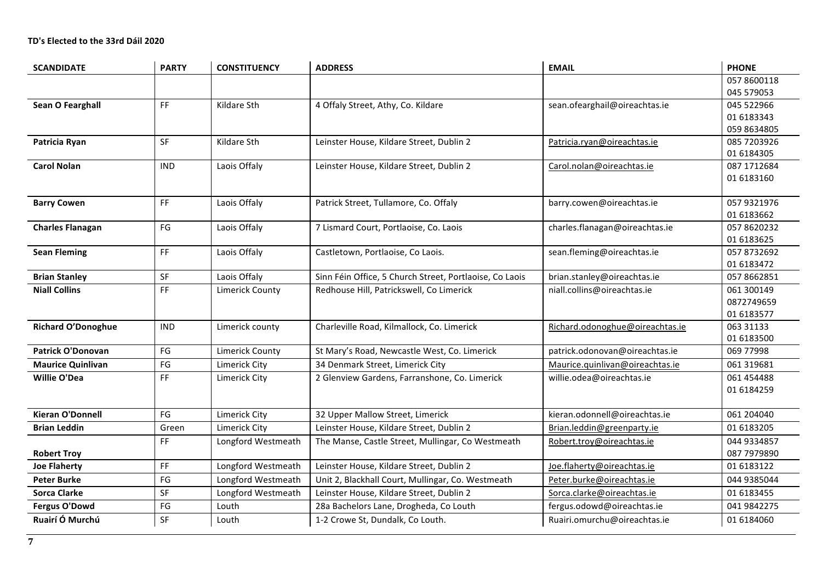| <b>SCANDIDATE</b>         | <b>PARTY</b>                                                                                   | <b>CONSTITUENCY</b>    | <b>ADDRESS</b>                                          | <b>EMAIL</b>                    | <b>PHONE</b>              |
|---------------------------|------------------------------------------------------------------------------------------------|------------------------|---------------------------------------------------------|---------------------------------|---------------------------|
|                           |                                                                                                |                        |                                                         |                                 | 057 8600118               |
|                           |                                                                                                |                        |                                                         |                                 | 045 579053                |
| Sean O Fearghall          | FF.                                                                                            | Kildare Sth            | 4 Offaly Street, Athy, Co. Kildare                      | sean.ofearghail@oireachtas.ie   | 045 522966                |
|                           |                                                                                                |                        |                                                         |                                 | 01 6183343                |
|                           |                                                                                                |                        |                                                         |                                 | 059 8634805               |
| Patricia Ryan             | <b>SF</b>                                                                                      | Kildare Sth            | Leinster House, Kildare Street, Dublin 2                | Patricia.ryan@oireachtas.ie     | 085 7203926               |
|                           |                                                                                                |                        |                                                         |                                 | 01 6184305                |
| <b>Carol Nolan</b>        | <b>IND</b>                                                                                     | Laois Offaly           | Leinster House, Kildare Street, Dublin 2                | Carol.nolan@oireachtas.ie       | 087 1712684               |
|                           |                                                                                                |                        |                                                         |                                 | 01 6183160                |
|                           |                                                                                                |                        |                                                         |                                 |                           |
| <b>Barry Cowen</b>        | FF.                                                                                            | Laois Offaly           | Patrick Street, Tullamore, Co. Offaly                   | barry.cowen@oireachtas.ie       | 057 9321976               |
| <b>Charles Flanagan</b>   | FG                                                                                             | Laois Offaly           | 7 Lismard Court, Portlaoise, Co. Laois                  | charles.flanagan@oireachtas.ie  | 01 6183662<br>057 8620232 |
|                           |                                                                                                |                        |                                                         |                                 | 01 6183625                |
| <b>Sean Fleming</b>       | $\mathsf{FF}% _{0}\left( \mathcal{F}_{0}\right) =\mathsf{FF}_{0}\left( \mathcal{F}_{0}\right)$ | Laois Offaly           | Castletown, Portlaoise, Co Laois.                       | sean.fleming@oireachtas.ie      | 057 8732692               |
|                           |                                                                                                |                        |                                                         |                                 | 01 6183472                |
| <b>Brian Stanley</b>      | SF                                                                                             | Laois Offaly           | Sinn Féin Office, 5 Church Street, Portlaoise, Co Laois | brian.stanley@oireachtas.ie     | 057 8662851               |
| <b>Niall Collins</b>      | FF                                                                                             | <b>Limerick County</b> | Redhouse Hill, Patrickswell, Co Limerick                | niall.collins@oireachtas.ie     | 061 300149                |
|                           |                                                                                                |                        |                                                         |                                 | 0872749659                |
|                           |                                                                                                |                        |                                                         |                                 | 01 6183577                |
| <b>Richard O'Donoghue</b> | <b>IND</b>                                                                                     | Limerick county        | Charleville Road, Kilmallock, Co. Limerick              | Richard.odonoghue@oireachtas.ie | 063 31133                 |
|                           |                                                                                                |                        |                                                         |                                 | 01 6183500                |
| <b>Patrick O'Donovan</b>  | FG                                                                                             | <b>Limerick County</b> | St Mary's Road, Newcastle West, Co. Limerick            | patrick.odonovan@oireachtas.ie  | 069 77998                 |
| <b>Maurice Quinlivan</b>  | $\mathsf{FG}$                                                                                  | Limerick City          | 34 Denmark Street, Limerick City                        | Maurice.quinlivan@oireachtas.ie | 061 319681                |
| <b>Willie O'Dea</b>       | FF                                                                                             | Limerick City          | 2 Glenview Gardens, Farranshone, Co. Limerick           | willie.odea@oireachtas.ie       | 061 454 488               |
|                           |                                                                                                |                        |                                                         |                                 | 01 6184259                |
|                           |                                                                                                |                        |                                                         |                                 |                           |
| <b>Kieran O'Donnell</b>   | FG                                                                                             | Limerick City          | 32 Upper Mallow Street, Limerick                        | kieran.odonnell@oireachtas.ie   | 061 204040                |
| <b>Brian Leddin</b>       | Green                                                                                          | Limerick City          | Leinster House, Kildare Street, Dublin 2                | Brian.leddin@greenparty.ie      | 01 6183205                |
|                           | FF                                                                                             | Longford Westmeath     | The Manse, Castle Street, Mullingar, Co Westmeath       | Robert.troy@oireachtas.ie       | 044 9334857               |
| <b>Robert Troy</b>        |                                                                                                |                        |                                                         |                                 | 087 7979890               |
| <b>Joe Flaherty</b>       | FF                                                                                             | Longford Westmeath     | Leinster House, Kildare Street, Dublin 2                | Joe.flaherty@oireachtas.ie      | 01 6183122                |
| <b>Peter Burke</b>        | FG                                                                                             | Longford Westmeath     | Unit 2, Blackhall Court, Mullingar, Co. Westmeath       | Peter.burke@oireachtas.ie       | 044 9385044               |
| <b>Sorca Clarke</b>       | SF                                                                                             | Longford Westmeath     | Leinster House, Kildare Street, Dublin 2                | Sorca.clarke@oireachtas.ie      | 01 6183455                |
| <b>Fergus O'Dowd</b>      | $\mathsf{F}\mathsf{G}$                                                                         | Louth                  | 28a Bachelors Lane, Drogheda, Co Louth                  | fergus.odowd@oireachtas.ie      | 041 9842275               |
| Ruairí Ó Murchú           | SF                                                                                             | Louth                  | 1-2 Crowe St, Dundalk, Co Louth.                        | Ruairi.omurchu@oireachtas.ie    | 01 6184060                |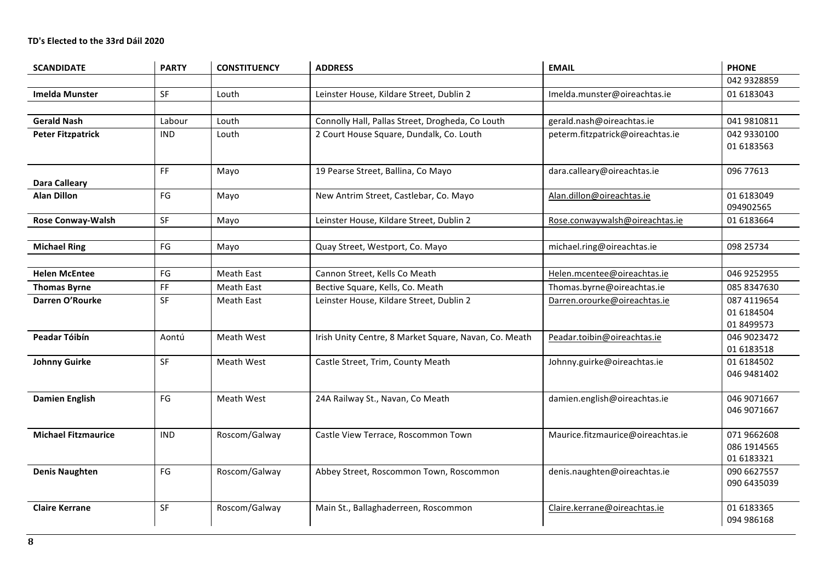# **TD's Elected to the 33rd Dáil 2020**

| <b>SCANDIDATE</b>          | <b>PARTY</b>                 | <b>CONSTITUENCY</b> | <b>ADDRESS</b>                                        | <b>EMAIL</b>                      | <b>PHONE</b>              |
|----------------------------|------------------------------|---------------------|-------------------------------------------------------|-----------------------------------|---------------------------|
|                            |                              |                     |                                                       |                                   | 042 9328859               |
| <b>Imelda Munster</b>      | <b>SF</b>                    | Louth               | Leinster House, Kildare Street, Dublin 2              | Imelda.munster@oireachtas.ie      | 01 6183043                |
|                            |                              |                     |                                                       |                                   |                           |
| <b>Gerald Nash</b>         | Labour                       | Louth               | Connolly Hall, Pallas Street, Drogheda, Co Louth      | gerald.nash@oireachtas.ie         | 041 9810811               |
| <b>Peter Fitzpatrick</b>   | <b>IND</b>                   | Louth               | 2 Court House Square, Dundalk, Co. Louth              | peterm.fitzpatrick@oireachtas.ie  | 042 9330100               |
|                            |                              |                     |                                                       |                                   | 01 6183563                |
|                            | FF                           | Mayo                | 19 Pearse Street, Ballina, Co Mayo                    | dara.calleary@oireachtas.ie       | 096 77613                 |
| <b>Dara Calleary</b>       |                              |                     |                                                       |                                   |                           |
| <b>Alan Dillon</b>         | FG                           | Mayo                | New Antrim Street, Castlebar, Co. Mayo                | Alan.dillon@oireachtas.ie         | 01 6183049                |
|                            |                              |                     |                                                       |                                   | 094902565                 |
| <b>Rose Conway-Walsh</b>   | SF                           | Mayo                | Leinster House, Kildare Street, Dublin 2              | Rose.conwaywalsh@oireachtas.ie    | 01 6183664                |
|                            |                              |                     |                                                       |                                   |                           |
| <b>Michael Ring</b>        | FG                           | Mayo                | Quay Street, Westport, Co. Mayo                       | michael.ring@oireachtas.ie        | 098 25734                 |
|                            |                              |                     |                                                       |                                   |                           |
| <b>Helen McEntee</b>       | FG                           | Meath East          | Cannon Street, Kells Co Meath                         | Helen.mcentee@oireachtas.ie       | 046 9252955               |
| <b>Thomas Byrne</b>        | $\mathsf{FF}% _{\mathsf{F}}$ | Meath East          | Bective Square, Kells, Co. Meath                      | Thomas.byrne@oireachtas.ie        | 085 8347630               |
| Darren O'Rourke            | SF                           | Meath East          | Leinster House, Kildare Street, Dublin 2              | Darren.orourke@oireachtas.ie      | 087 4119654               |
|                            |                              |                     |                                                       |                                   | 01 6184504                |
|                            |                              |                     |                                                       |                                   | 01 8499573                |
| Peadar Tóibín              | Aontú                        | Meath West          | Irish Unity Centre, 8 Market Square, Navan, Co. Meath | Peadar.toibin@oireachtas.ie       | 046 9023472<br>01 6183518 |
| <b>Johnny Guirke</b>       | SF                           | Meath West          | Castle Street, Trim, County Meath                     | Johnny.guirke@oireachtas.ie       | 01 6184502                |
|                            |                              |                     |                                                       |                                   | 046 9481402               |
|                            |                              |                     |                                                       |                                   |                           |
| <b>Damien English</b>      | FG                           | Meath West          | 24A Railway St., Navan, Co Meath                      | damien.english@oireachtas.ie      | 046 9071667               |
|                            |                              |                     |                                                       |                                   | 046 9071667               |
|                            |                              |                     |                                                       |                                   |                           |
| <b>Michael Fitzmaurice</b> | <b>IND</b>                   | Roscom/Galway       | Castle View Terrace, Roscommon Town                   | Maurice.fitzmaurice@oireachtas.ie | 071 9662608               |
|                            |                              |                     |                                                       |                                   | 086 1914565               |
|                            | FG                           |                     |                                                       |                                   | 01 6183321<br>090 6627557 |
| <b>Denis Naughten</b>      |                              | Roscom/Galway       | Abbey Street, Roscommon Town, Roscommon               | denis.naughten@oireachtas.ie      | 090 6435039               |
|                            |                              |                     |                                                       |                                   |                           |
| <b>Claire Kerrane</b>      | SF                           | Roscom/Galway       | Main St., Ballaghaderreen, Roscommon                  | Claire.kerrane@oireachtas.ie      | 01 6183365                |
|                            |                              |                     |                                                       |                                   | 094 986168                |
|                            |                              |                     |                                                       |                                   |                           |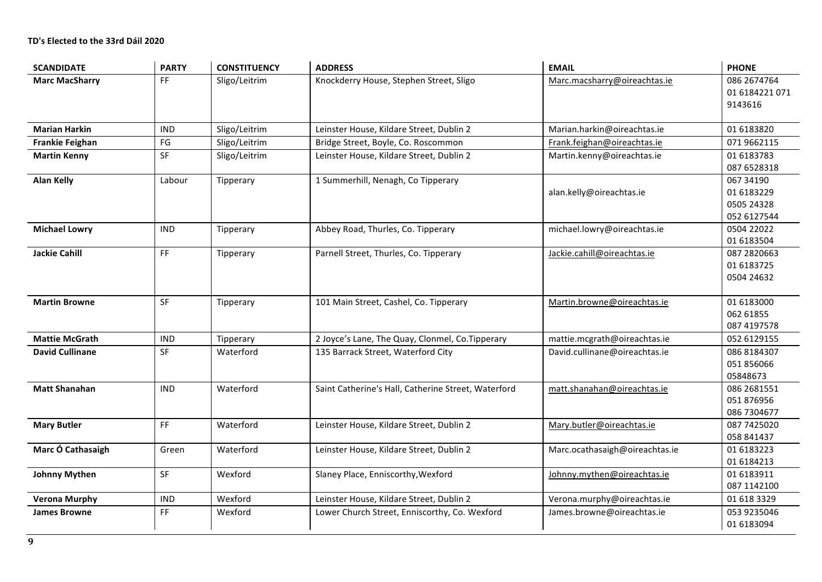| <b>SCANDIDATE</b>      | <b>PARTY</b>           | <b>CONSTITUENCY</b> | <b>ADDRESS</b>                                      | <b>EMAIL</b>                   | <b>PHONE</b>                                         |
|------------------------|------------------------|---------------------|-----------------------------------------------------|--------------------------------|------------------------------------------------------|
| <b>Marc MacSharry</b>  | FF                     | Sligo/Leitrim       | Knockderry House, Stephen Street, Sligo             | Marc.macsharry@oireachtas.ie   | 086 2674764<br>01 6184221 071<br>9143616             |
| <b>Marian Harkin</b>   | <b>IND</b>             | Sligo/Leitrim       | Leinster House, Kildare Street, Dublin 2            | Marian.harkin@oireachtas.ie    | 01 6183820                                           |
| <b>Frankie Feighan</b> | $\mathsf{F}\mathsf{G}$ | Sligo/Leitrim       | Bridge Street, Boyle, Co. Roscommon                 | Frank.feighan@oireachtas.ie    | 071 9662115                                          |
| <b>Martin Kenny</b>    | SF                     | Sligo/Leitrim       | Leinster House, Kildare Street, Dublin 2            | Martin.kenny@oireachtas.ie     | 01 6183783<br>087 6528318                            |
| <b>Alan Kelly</b>      | Labour                 | Tipperary           | 1 Summerhill, Nenagh, Co Tipperary                  | alan.kelly@oireachtas.ie       | 067 34190<br>01 6183229<br>0505 24328<br>052 6127544 |
| <b>Michael Lowry</b>   | <b>IND</b>             | Tipperary           | Abbey Road, Thurles, Co. Tipperary                  | michael.lowry@oireachtas.ie    | 0504 22022<br>01 6183504                             |
| <b>Jackie Cahill</b>   | FF                     | Tipperary           | Parnell Street, Thurles, Co. Tipperary              | Jackie.cahill@oireachtas.ie    | 087 2820663<br>01 6183725<br>0504 24632              |
| <b>Martin Browne</b>   | SF                     | Tipperary           | 101 Main Street, Cashel, Co. Tipperary              | Martin.browne@oireachtas.ie    | 01 6183000<br>062 61855<br>087 4197578               |
| <b>Mattie McGrath</b>  | <b>IND</b>             | Tipperary           | 2 Joyce's Lane, The Quay, Clonmel, Co. Tipperary    | mattie.mcgrath@oireachtas.ie   | 052 6129155                                          |
| <b>David Cullinane</b> | SF                     | Waterford           | 135 Barrack Street, Waterford City                  | David.cullinane@oireachtas.ie  | 086 8184307<br>051 856066<br>05848673                |
| <b>Matt Shanahan</b>   | <b>IND</b>             | Waterford           | Saint Catherine's Hall, Catherine Street, Waterford | matt.shanahan@oireachtas.ie    | 086 2681551<br>051 876956<br>086 7304677             |
| <b>Mary Butler</b>     | FF                     | Waterford           | Leinster House, Kildare Street, Dublin 2            | Mary.butler@oireachtas.ie      | 087 7425020<br>058 841437                            |
| Marc Ó Cathasaigh      | Green                  | Waterford           | Leinster House, Kildare Street, Dublin 2            | Marc.ocathasaigh@oireachtas.ie | 01 6183223<br>01 6184213                             |
| <b>Johnny Mythen</b>   | SF                     | Wexford             | Slaney Place, Enniscorthy, Wexford                  | Johnny.mythen@oireachtas.ie    | 01 6183911<br>087 1142100                            |
| <b>Verona Murphy</b>   | <b>IND</b>             | Wexford             | Leinster House, Kildare Street, Dublin 2            | Verona.murphy@oireachtas.ie    | 01 618 3329                                          |
| <b>James Browne</b>    | FF                     | Wexford             | Lower Church Street, Enniscorthy, Co. Wexford       | James.browne@oireachtas.ie     | 053 9235046<br>01 6183094                            |